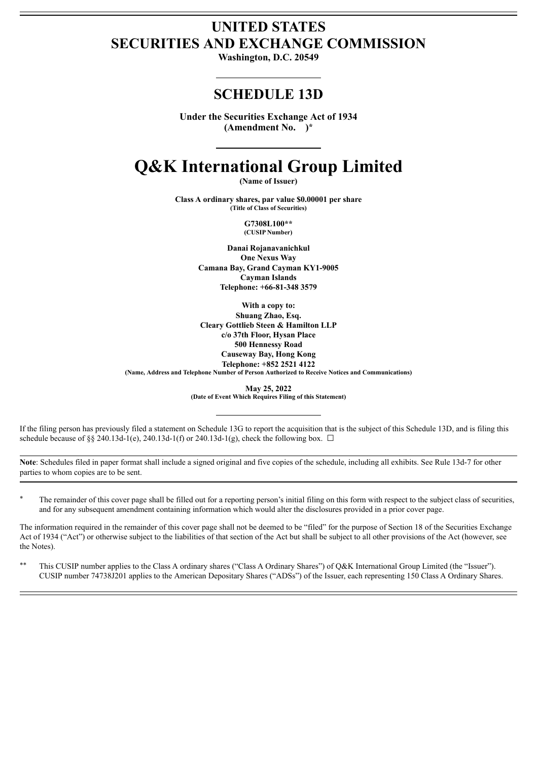# **UNITED STATES SECURITIES AND EXCHANGE COMMISSION**

**Washington, D.C. 20549**

## **SCHEDULE 13D**

**Under the Securities Exchange Act of 1934 (Amendment No. )\***

# **Q&K International Group Limited**

**(Name of Issuer)**

**Class A ordinary shares, par value \$0.00001 per share (Title of Class of Securities)**

> **G7308L100\*\* (CUSIP Number)**

**Danai Rojanavanichkul One Nexus Way Camana Bay, Grand Cayman KY1-9005 Cayman Islands Telephone: +66-81-348 3579**

**With a copy to: Shuang Zhao, Esq. Cleary Gottlieb Steen & Hamilton LLP c/o 37th Floor, Hysan Place 500 Hennessy Road Causeway Bay, Hong Kong Telephone: +852 2521 4122 (Name, Address and Telephone Number of Person Authorized to Receive Notices and Communications)**

> **May 25, 2022 (Date of Event Which Requires Filing of this Statement)**

If the filing person has previously filed a statement on Schedule 13G to report the acquisition that is the subject of this Schedule 13D, and is filing this schedule because of §§ 240.13d-1(e), 240.13d-1(f) or 240.13d-1(g), check the following box.  $\Box$ 

**Note**: Schedules filed in paper format shall include a signed original and five copies of the schedule, including all exhibits. See Rule 13d-7 for other parties to whom copies are to be sent.

\* The remainder of this cover page shall be filled out for a reporting person's initial filing on this form with respect to the subject class of securities, and for any subsequent amendment containing information which would alter the disclosures provided in a prior cover page.

The information required in the remainder of this cover page shall not be deemed to be "filed" for the purpose of Section 18 of the Securities Exchange Act of 1934 ("Act") or otherwise subject to the liabilities of that section of the Act but shall be subject to all other provisions of the Act (however, see the Notes).

\*\* This CUSIP number applies to the Class A ordinary shares ("Class A Ordinary Shares") of Q&K International Group Limited (the "Issuer"). CUSIP number 74738J201 applies to the American Depositary Shares ("ADSs") of the Issuer, each representing 150 Class A Ordinary Shares.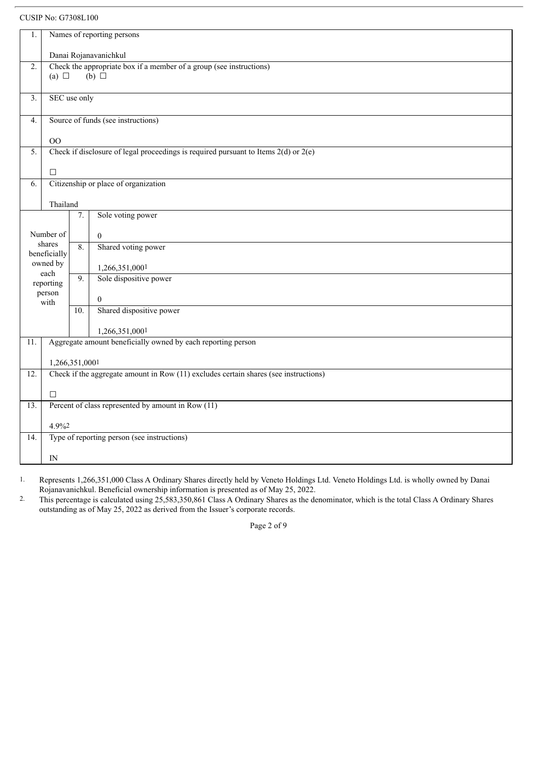CUSIP No: G7308L100

| 1.                      | Names of reporting persons                                                                             |                       |                                      |  |  |
|-------------------------|--------------------------------------------------------------------------------------------------------|-----------------------|--------------------------------------|--|--|
|                         |                                                                                                        | Danai Rojanavanichkul |                                      |  |  |
| $\overline{2}$ .        | Check the appropriate box if a member of a group (see instructions)                                    |                       |                                      |  |  |
|                         | $(b)$ $\square$<br>(a) $\Box$                                                                          |                       |                                      |  |  |
| 3.                      | SEC use only                                                                                           |                       |                                      |  |  |
| 4.                      | Source of funds (see instructions)                                                                     |                       |                                      |  |  |
|                         | O <sub>O</sub>                                                                                         |                       |                                      |  |  |
| 5.                      | Check if disclosure of legal proceedings is required pursuant to Items $2(d)$ or $2(e)$                |                       |                                      |  |  |
|                         | $\Box$                                                                                                 |                       |                                      |  |  |
| 6.                      |                                                                                                        |                       | Citizenship or place of organization |  |  |
|                         | Thailand                                                                                               |                       |                                      |  |  |
| Sole voting power<br>7. |                                                                                                        |                       |                                      |  |  |
|                         | Number of                                                                                              |                       | $\overline{0}$                       |  |  |
|                         | shares<br>beneficially                                                                                 | 8.                    | Shared voting power                  |  |  |
|                         | owned by                                                                                               |                       | 1,266,351,0001                       |  |  |
|                         | each<br>reporting                                                                                      | 9.                    | Sole dispositive power               |  |  |
|                         | person                                                                                                 |                       | $\mathbf{0}$                         |  |  |
|                         | with                                                                                                   | 10.                   | Shared dispositive power             |  |  |
|                         |                                                                                                        |                       |                                      |  |  |
| 11.                     | 1,266,351,0001<br>Aggregate amount beneficially owned by each reporting person                         |                       |                                      |  |  |
|                         |                                                                                                        |                       |                                      |  |  |
| $\overline{12}$ .       | 1,266,351,0001<br>Check if the aggregate amount in Row (11) excludes certain shares (see instructions) |                       |                                      |  |  |
|                         |                                                                                                        |                       |                                      |  |  |
|                         | $\Box$                                                                                                 |                       |                                      |  |  |
| 13.                     | Percent of class represented by amount in Row (11)                                                     |                       |                                      |  |  |
|                         | 4.9%2                                                                                                  |                       |                                      |  |  |
| 14.                     | Type of reporting person (see instructions)                                                            |                       |                                      |  |  |
|                         | IN                                                                                                     |                       |                                      |  |  |

1. Represents 1,266,351,000 Class A Ordinary Shares directly held by Veneto Holdings Ltd. Veneto Holdings Ltd. is wholly owned by Danai Rojanavanichkul. Beneficial ownership information is presented as of May 25, 2022.

2. This percentage is calculated using 25,583,350,861 Class A Ordinary Shares as the denominator, which is the total Class A Ordinary Shares outstanding as of May 25, 2022 as derived from the Issuer's corporate records.

Page 2 of 9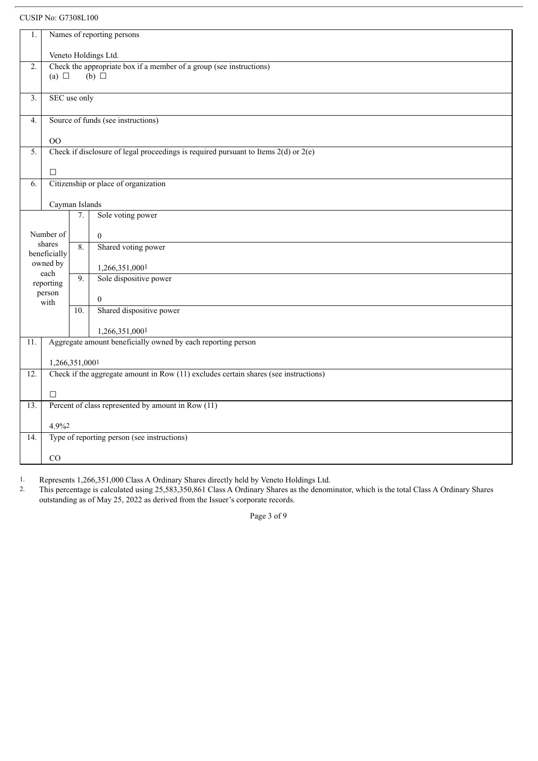CUSIP No: G7308L100

| Names of reporting persons<br>1. |                                                                                      |                                                                                         |                                      |  |  |  |
|----------------------------------|--------------------------------------------------------------------------------------|-----------------------------------------------------------------------------------------|--------------------------------------|--|--|--|
|                                  | Veneto Holdings Ltd.                                                                 |                                                                                         |                                      |  |  |  |
| $\overline{2}$ .                 |                                                                                      | Check the appropriate box if a member of a group (see instructions)                     |                                      |  |  |  |
|                                  | (a) $\Box$                                                                           |                                                                                         | $(b)$ $\square$                      |  |  |  |
| $\overline{3}$ .                 |                                                                                      | SEC use only                                                                            |                                      |  |  |  |
| 4.                               | Source of funds (see instructions)                                                   |                                                                                         |                                      |  |  |  |
| $00\,$                           |                                                                                      |                                                                                         |                                      |  |  |  |
| 5.                               |                                                                                      | Check if disclosure of legal proceedings is required pursuant to Items $2(d)$ or $2(e)$ |                                      |  |  |  |
|                                  | $\Box$                                                                               |                                                                                         |                                      |  |  |  |
| 6.                               |                                                                                      |                                                                                         | Citizenship or place of organization |  |  |  |
|                                  |                                                                                      |                                                                                         |                                      |  |  |  |
|                                  | Cayman Islands                                                                       |                                                                                         |                                      |  |  |  |
|                                  |                                                                                      | 7.                                                                                      | Sole voting power                    |  |  |  |
|                                  | Number of                                                                            |                                                                                         | $\boldsymbol{0}$                     |  |  |  |
|                                  | shares<br>beneficially                                                               | $\overline{8}$ .                                                                        | Shared voting power                  |  |  |  |
|                                  | owned by                                                                             |                                                                                         | 1,266,351,0001                       |  |  |  |
|                                  | each<br>reporting                                                                    | $\overline{9}$ .                                                                        | Sole dispositive power               |  |  |  |
|                                  | person                                                                               |                                                                                         | $\boldsymbol{0}$                     |  |  |  |
|                                  | with                                                                                 | 10.                                                                                     | Shared dispositive power             |  |  |  |
|                                  |                                                                                      |                                                                                         |                                      |  |  |  |
|                                  |                                                                                      |                                                                                         | 1,266,351,0001                       |  |  |  |
| $\overline{11}$ .                | Aggregate amount beneficially owned by each reporting person                         |                                                                                         |                                      |  |  |  |
|                                  | 1,266,351,0001                                                                       |                                                                                         |                                      |  |  |  |
| $\overline{12}$ .                | Check if the aggregate amount in Row (11) excludes certain shares (see instructions) |                                                                                         |                                      |  |  |  |
|                                  | $\Box$                                                                               |                                                                                         |                                      |  |  |  |
| 13.                              | Percent of class represented by amount in Row (11)                                   |                                                                                         |                                      |  |  |  |
|                                  |                                                                                      |                                                                                         |                                      |  |  |  |
|                                  | 4.9%2                                                                                |                                                                                         |                                      |  |  |  |
| 14.                              | Type of reporting person (see instructions)                                          |                                                                                         |                                      |  |  |  |
|                                  | CO                                                                                   |                                                                                         |                                      |  |  |  |

1. Represents 1,266,351,000 Class A Ordinary Shares directly held by Veneto Holdings Ltd.<br>2. This percentage is calculated using 25,583,350,861 Class A Ordinary Shares as the denom

2. This percentage is calculated using 25,583,350,861 Class A Ordinary Shares as the denominator, which is the total Class A Ordinary Shares outstanding as of May 25, 2022 as derived from the Issuer's corporate records.

Page 3 of 9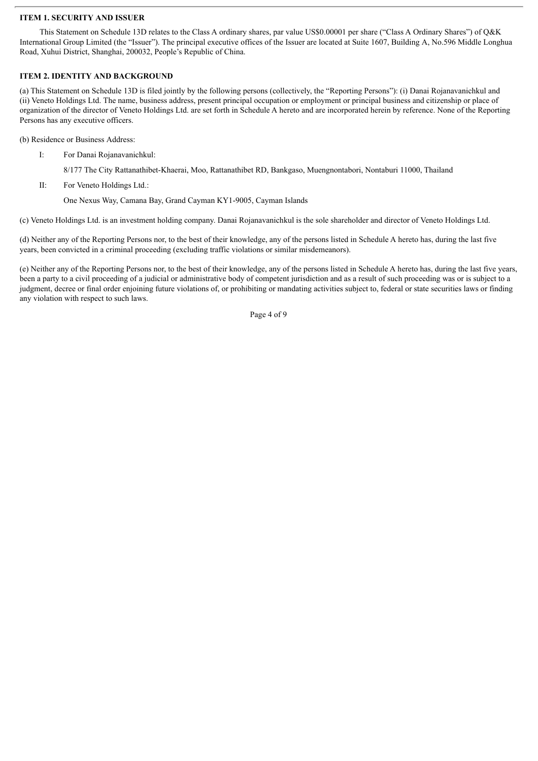#### **ITEM 1. SECURITY AND ISSUER**

This Statement on Schedule 13D relates to the Class A ordinary shares, par value US\$0.00001 per share ("Class A Ordinary Shares") of Q&K International Group Limited (the "Issuer"). The principal executive offices of the Issuer are located at Suite 1607, Building A, No.596 Middle Longhua Road, Xuhui District, Shanghai, 200032, People's Republic of China.

#### **ITEM 2. IDENTITY AND BACKGROUND**

(a) This Statement on Schedule 13D is filed jointly by the following persons (collectively, the "Reporting Persons"): (i) Danai Rojanavanichkul and (ii) Veneto Holdings Ltd. The name, business address, present principal occupation or employment or principal business and citizenship or place of organization of the director of Veneto Holdings Ltd. are set forth in Schedule A hereto and are incorporated herein by reference. None of the Reporting Persons has any executive officers.

(b) Residence or Business Address:

I: For Danai Rojanavanichkul:

8/177 The City Rattanathibet-Khaerai, Moo, Rattanathibet RD, Bankgaso, Muengnontabori, Nontaburi 11000, Thailand

II: For Veneto Holdings Ltd.:

One Nexus Way, Camana Bay, Grand Cayman KY1-9005, Cayman Islands

(c) Veneto Holdings Ltd. is an investment holding company. Danai Rojanavanichkul is the sole shareholder and director of Veneto Holdings Ltd.

(d) Neither any of the Reporting Persons nor, to the best of their knowledge, any of the persons listed in Schedule A hereto has, during the last five years, been convicted in a criminal proceeding (excluding traffic violations or similar misdemeanors).

(e) Neither any of the Reporting Persons nor, to the best of their knowledge, any of the persons listed in Schedule A hereto has, during the last five years, been a party to a civil proceeding of a judicial or administrative body of competent jurisdiction and as a result of such proceeding was or is subject to a judgment, decree or final order enjoining future violations of, or prohibiting or mandating activities subject to, federal or state securities laws or finding any violation with respect to such laws.

Page 4 of 9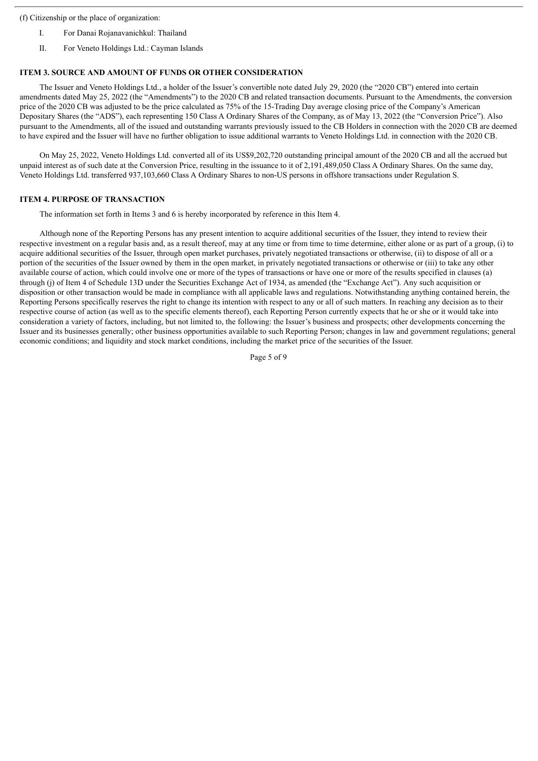(f) Citizenship or the place of organization:

- I. For Danai Rojanavanichkul: Thailand
- II. For Veneto Holdings Ltd.: Cayman Islands

### **ITEM 3. SOURCE AND AMOUNT OF FUNDS OR OTHER CONSIDERATION**

The Issuer and Veneto Holdings Ltd., a holder of the Issuer's convertible note dated July 29, 2020 (the "2020 CB") entered into certain amendments dated May 25, 2022 (the "Amendments") to the 2020 CB and related transaction documents. Pursuant to the Amendments, the conversion price of the 2020 CB was adjusted to be the price calculated as 75% of the 15-Trading Day average closing price of the Company's American Depositary Shares (the "ADS"), each representing 150 Class A Ordinary Shares of the Company, as of May 13, 2022 (the "Conversion Price"). Also pursuant to the Amendments, all of the issued and outstanding warrants previously issued to the CB Holders in connection with the 2020 CB are deemed to have expired and the Issuer will have no further obligation to issue additional warrants to Veneto Holdings Ltd. in connection with the 2020 CB.

On May 25, 2022, Veneto Holdings Ltd. converted all of its US\$9,202,720 outstanding principal amount of the 2020 CB and all the accrued but unpaid interest as of such date at the Conversion Price, resulting in the issuance to it of 2,191,489,050 Class A Ordinary Shares. On the same day, Veneto Holdings Ltd. transferred 937,103,660 Class A Ordinary Shares to non-US persons in offshore transactions under Regulation S.

### **ITEM 4. PURPOSE OF TRANSACTION**

The information set forth in Items 3 and 6 is hereby incorporated by reference in this Item 4.

Although none of the Reporting Persons has any present intention to acquire additional securities of the Issuer, they intend to review their respective investment on a regular basis and, as a result thereof, may at any time or from time to time determine, either alone or as part of a group, (i) to acquire additional securities of the Issuer, through open market purchases, privately negotiated transactions or otherwise, (ii) to dispose of all or a portion of the securities of the Issuer owned by them in the open market, in privately negotiated transactions or otherwise or (iii) to take any other available course of action, which could involve one or more of the types of transactions or have one or more of the results specified in clauses (a) through (j) of Item 4 of Schedule 13D under the Securities Exchange Act of 1934, as amended (the "Exchange Act"). Any such acquisition or disposition or other transaction would be made in compliance with all applicable laws and regulations. Notwithstanding anything contained herein, the Reporting Persons specifically reserves the right to change its intention with respect to any or all of such matters. In reaching any decision as to their respective course of action (as well as to the specific elements thereof), each Reporting Person currently expects that he or she or it would take into consideration a variety of factors, including, but not limited to, the following: the Issuer's business and prospects; other developments concerning the Issuer and its businesses generally; other business opportunities available to such Reporting Person; changes in law and government regulations; general economic conditions; and liquidity and stock market conditions, including the market price of the securities of the Issuer.

Page 5 of 9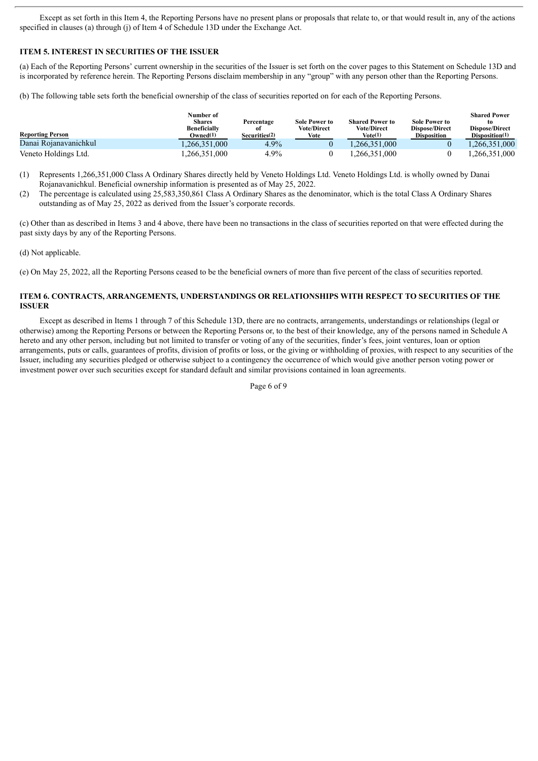Except as set forth in this Item 4, the Reporting Persons have no present plans or proposals that relate to, or that would result in, any of the actions specified in clauses (a) through (j) of Item 4 of Schedule 13D under the Exchange Act.

### **ITEM 5. INTEREST IN SECURITIES OF THE ISSUER**

(a) Each of the Reporting Persons' current ownership in the securities of the Issuer is set forth on the cover pages to this Statement on Schedule 13D and is incorporated by reference herein. The Reporting Persons disclaim membership in any "group" with any person other than the Reporting Persons.

(b) The following table sets forth the beneficial ownership of the class of securities reported on for each of the Reporting Persons.

| <b>Reporting Person</b> | Number of<br>Shares<br>Beneficially<br>Owned <sup>(1)</sup> | Percentage<br>оf<br>Securities <sup>(2)</sup> | <b>Sole Power to</b><br><b>Vote/Direct</b><br>Vote | <b>Shared Power to</b><br><b>Vote/Direct</b><br>Vote(1) | <b>Sole Power to</b><br><b>Dispose/Direct</b><br>Disposition | <b>Shared Power</b><br>to<br><b>Dispose/Direct</b><br>Disposition(1) |
|-------------------------|-------------------------------------------------------------|-----------------------------------------------|----------------------------------------------------|---------------------------------------------------------|--------------------------------------------------------------|----------------------------------------------------------------------|
| Danai Rojanavanichkul   | .266.351.000                                                | 4.9%                                          |                                                    | ,266,351,000                                            |                                                              | ,266,351,000                                                         |
| Veneto Holdings Ltd.    | ,266,351,000                                                | 4.9%                                          |                                                    | ,266,351,000                                            |                                                              | ,266,351,000                                                         |

(1) Represents 1,266,351,000 Class A Ordinary Shares directly held by Veneto Holdings Ltd. Veneto Holdings Ltd. is wholly owned by Danai Rojanavanichkul. Beneficial ownership information is presented as of May 25, 2022.

(2) The percentage is calculated using 25,583,350,861 Class A Ordinary Shares as the denominator, which is the total Class A Ordinary Shares outstanding as of May 25, 2022 as derived from the Issuer's corporate records.

(c) Other than as described in Items 3 and 4 above, there have been no transactions in the class of securities reported on that were effected during the past sixty days by any of the Reporting Persons.

(d) Not applicable.

(e) On May 25, 2022, all the Reporting Persons ceased to be the beneficial owners of more than five percent of the class of securities reported.

#### **ITEM 6. CONTRACTS, ARRANGEMENTS, UNDERSTANDINGS OR RELATIONSHIPS WITH RESPECT TO SECURITIES OF THE ISSUER**

Except as described in Items 1 through 7 of this Schedule 13D, there are no contracts, arrangements, understandings or relationships (legal or otherwise) among the Reporting Persons or between the Reporting Persons or, to the best of their knowledge, any of the persons named in Schedule A hereto and any other person, including but not limited to transfer or voting of any of the securities, finder's fees, joint ventures, loan or option arrangements, puts or calls, guarantees of profits, division of profits or loss, or the giving or withholding of proxies, with respect to any securities of the Issuer, including any securities pledged or otherwise subject to a contingency the occurrence of which would give another person voting power or investment power over such securities except for standard default and similar provisions contained in loan agreements.

Page 6 of 9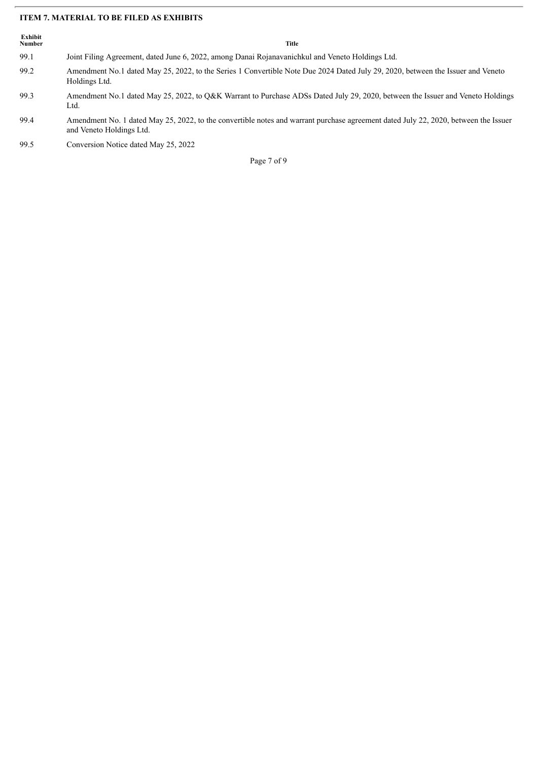### **ITEM 7. MATERIAL TO BE FILED AS EXHIBITS**

| Exhibit<br>Number | Title                                                                                                                                                           |
|-------------------|-----------------------------------------------------------------------------------------------------------------------------------------------------------------|
| 99.1              | Joint Filing Agreement, dated June 6, 2022, among Danai Rojanavanichkul and Veneto Holdings Ltd.                                                                |
| 99.2              | Amendment No.1 dated May 25, 2022, to the Series 1 Convertible Note Due 2024 Dated July 29, 2020, between the Issuer and Veneto<br>Holdings Ltd.                |
| 99.3              | Amendment No.1 dated May 25, 2022, to O&K Warrant to Purchase ADSs Dated July 29, 2020, between the Issuer and Veneto Holdings<br>Ltd.                          |
| 99.4              | Amendment No. 1 dated May 25, 2022, to the convertible notes and warrant purchase agreement dated July 22, 2020, between the Issuer<br>and Veneto Holdings Ltd. |
| 99.5              | Conversion Notice dated May 25, 2022                                                                                                                            |
|                   | Page 7 of 9                                                                                                                                                     |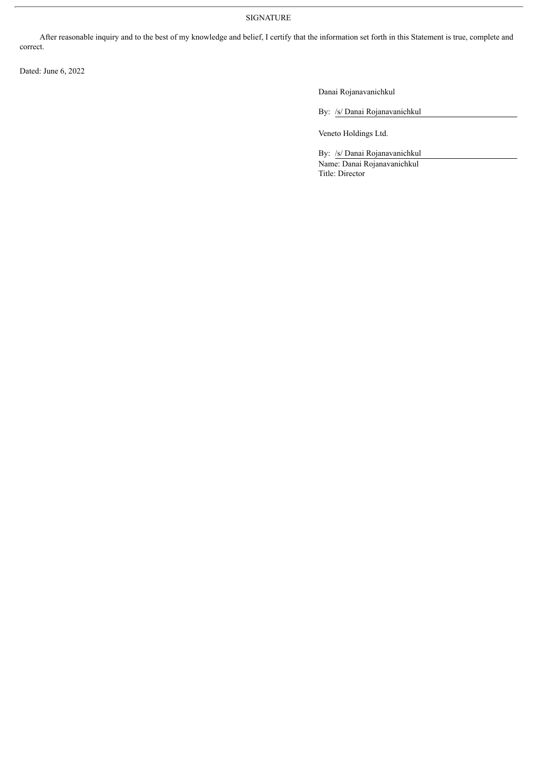### SIGNATURE

After reasonable inquiry and to the best of my knowledge and belief, I certify that the information set forth in this Statement is true, complete and correct.

Dated: June 6, 2022

Danai Rojanavanichkul

By: /s/ Danai Rojanavanichkul

Veneto Holdings Ltd.

By: /s/ Danai Rojanavanichkul Name: Danai Rojanavanichkul Title: Director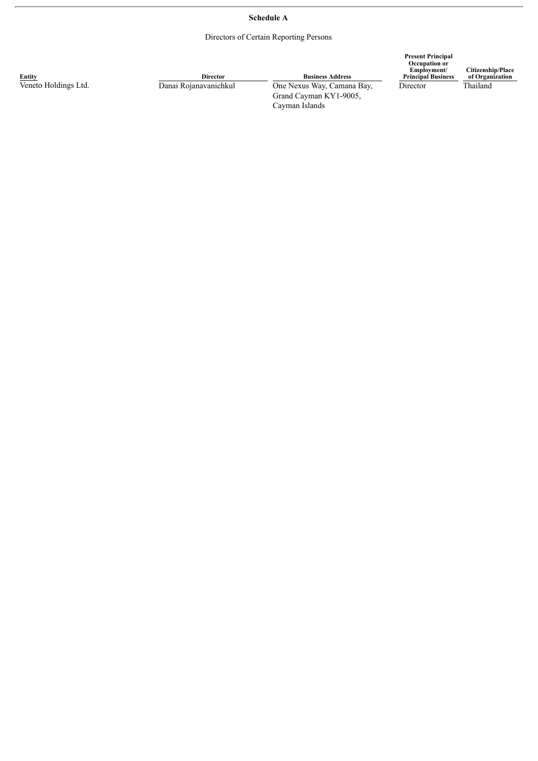### **Schedule A**

Directors of Certain Reporting Persons

| Entity               | <b>Director</b>       | <b>Business Address</b>                  | <b>Present Principal</b><br>Occupation or<br>Employment/<br><b>Principal Business</b> | Citizenship/Place<br>of Organization<br>Thailand |
|----------------------|-----------------------|------------------------------------------|---------------------------------------------------------------------------------------|--------------------------------------------------|
| Veneto Holdings Ltd. | Danai Rojanavanichkul | One Nexus Way, Camana Bay,               | Director                                                                              |                                                  |
|                      |                       | Grand Cayman KY1-9005,<br>Cayman Islands |                                                                                       |                                                  |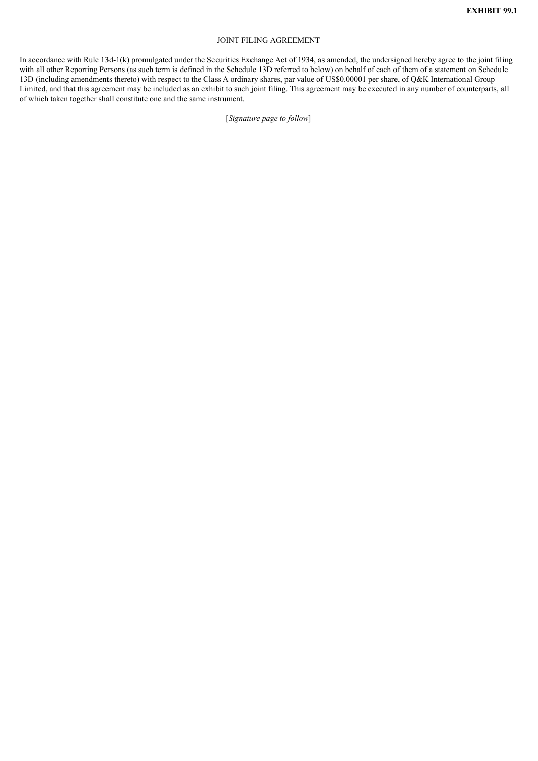#### JOINT FILING AGREEMENT

In accordance with Rule 13d-1(k) promulgated under the Securities Exchange Act of 1934, as amended, the undersigned hereby agree to the joint filing with all other Reporting Persons (as such term is defined in the Schedule 13D referred to below) on behalf of each of them of a statement on Schedule 13D (including amendments thereto) with respect to the Class A ordinary shares, par value of US\$0.00001 per share, of Q&K International Group Limited, and that this agreement may be included as an exhibit to such joint filing. This agreement may be executed in any number of counterparts, all of which taken together shall constitute one and the same instrument.

[*Signature page to follow*]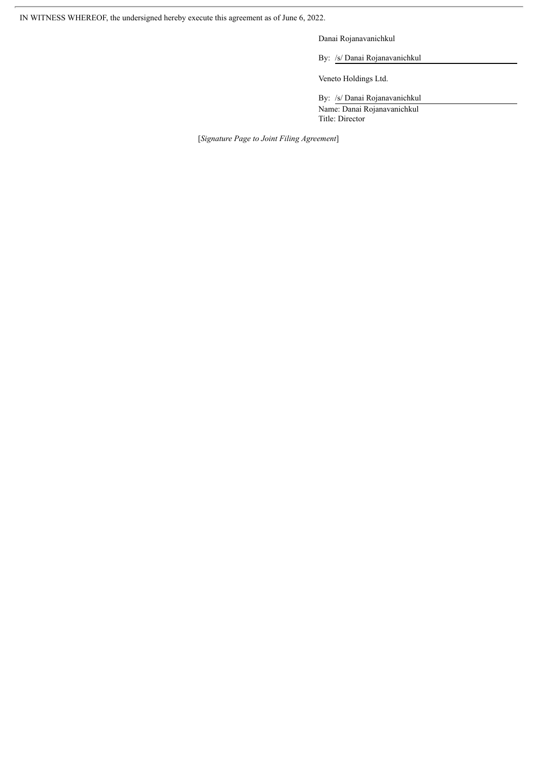IN WITNESS WHEREOF, the undersigned hereby execute this agreement as of June 6, 2022.

Danai Rojanavanichkul

By: /s/ Danai Rojanavanichkul

Veneto Holdings Ltd.

By: /s/ Danai Rojanavanichkul Name: Danai Rojanavanichkul Title: Director

[*Signature Page to Joint Filing Agreement*]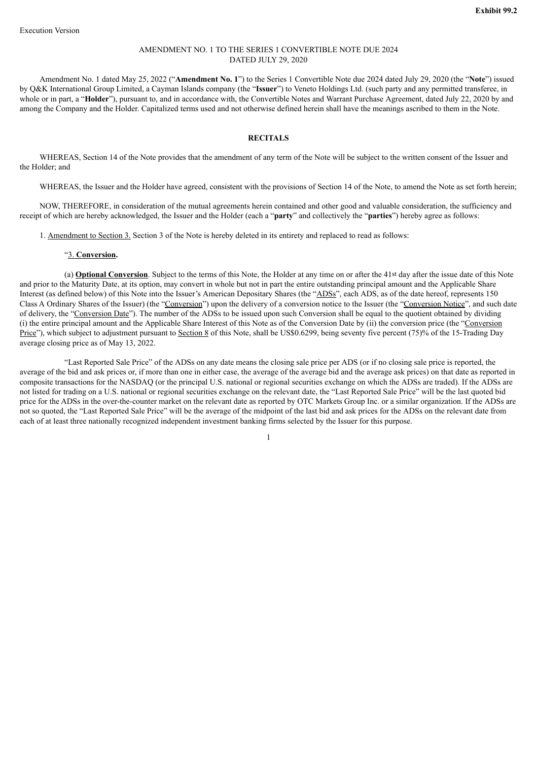#### AMENDMENT NO. 1 TO THE SERIES 1 CONVERTIBLE NOTE DUE 2024 DATED JULY 29, 2020

Amendment No. 1 dated May 25, 2022 ("**Amendment No. 1**") to the Series 1 Convertible Note due 2024 dated July 29, 2020 (the "**Note**") issued by Q&K International Group Limited, a Cayman Islands company (the "**Issuer**") to Veneto Holdings Ltd. (such party and any permitted transferee, in whole or in part, a "**Holder**"), pursuant to, and in accordance with, the Convertible Notes and Warrant Purchase Agreement, dated July 22, 2020 by and among the Company and the Holder. Capitalized terms used and not otherwise defined herein shall have the meanings ascribed to them in the Note.

#### **RECITALS**

WHEREAS, Section 14 of the Note provides that the amendment of any term of the Note will be subject to the written consent of the Issuer and the Holder; and

WHEREAS, the Issuer and the Holder have agreed, consistent with the provisions of Section 14 of the Note, to amend the Note as set forth herein;

NOW, THEREFORE, in consideration of the mutual agreements herein contained and other good and valuable consideration, the sufficiency and receipt of which are hereby acknowledged, the Issuer and the Holder (each a "**party**" and collectively the "**parties**") hereby agree as follows:

1. Amendment to Section 3. Section 3 of the Note is hereby deleted in its entirety and replaced to read as follows:

#### "3. **Conversion.**

(a) **Optional Conversion**. Subject to the terms of this Note, the Holder at any time on or after the 41st day after the issue date of this Note and prior to the Maturity Date, at its option, may convert in whole but not in part the entire outstanding principal amount and the Applicable Share Interest (as defined below) of this Note into the Issuer's American Depositary Shares (the "ADSs", each ADS, as of the date hereof, represents 150 Class A Ordinary Shares of the Issuer) (the "Conversion") upon the delivery of a conversion notice to the Issuer (the "Conversion Notice", and such date of delivery, the "Conversion Date"). The number of the ADSs to be issued upon such Conversion shall be equal to the quotient obtained by dividing (i) the entire principal amount and the Applicable Share Interest of this Note as of the Conversion Date by (ii) the conversion price (the "Conversion Price"), which subject to adjustment pursuant to Section 8 of this Note, shall be US\$0.6299, being seventy five percent (75)% of the 15-Trading Day average closing price as of May 13, 2022.

"Last Reported Sale Price" of the ADSs on any date means the closing sale price per ADS (or if no closing sale price is reported, the average of the bid and ask prices or, if more than one in either case, the average of the average bid and the average ask prices) on that date as reported in composite transactions for the NASDAQ (or the principal U.S. national or regional securities exchange on which the ADSs are traded). If the ADSs are not listed for trading on a U.S. national or regional securities exchange on the relevant date, the "Last Reported Sale Price" will be the last quoted bid price for the ADSs in the over-the-counter market on the relevant date as reported by OTC Markets Group Inc. or a similar organization. If the ADSs are not so quoted, the "Last Reported Sale Price" will be the average of the midpoint of the last bid and ask prices for the ADSs on the relevant date from each of at least three nationally recognized independent investment banking firms selected by the Issuer for this purpose.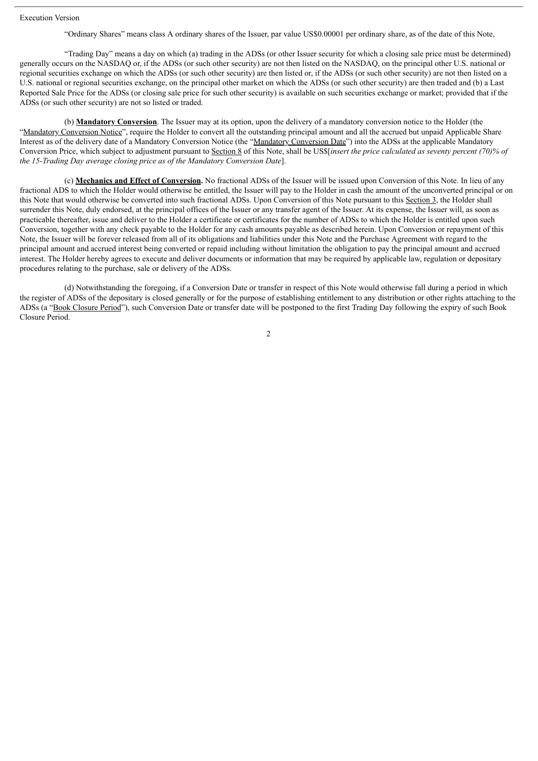Execution Version

"Ordinary Shares" means class A ordinary shares of the Issuer, par value US\$0.00001 per ordinary share, as of the date of this Note,

"Trading Day" means a day on which (a) trading in the ADSs (or other Issuer security for which a closing sale price must be determined) generally occurs on the NASDAQ or, if the ADSs (or such other security) are not then listed on the NASDAQ, on the principal other U.S. national or regional securities exchange on which the ADSs (or such other security) are then listed or, if the ADSs (or such other security) are not then listed on a U.S. national or regional securities exchange, on the principal other market on which the ADSs (or such other security) are then traded and (b) a Last Reported Sale Price for the ADSs (or closing sale price for such other security) is available on such securities exchange or market; provided that if the ADSs (or such other security) are not so listed or traded.

(b) **Mandatory Conversion**. The Issuer may at its option, upon the delivery of a mandatory conversion notice to the Holder (the "Mandatory Conversion Notice", require the Holder to convert all the outstanding principal amount and all the accrued but unpaid Applicable Share Interest as of the delivery date of a Mandatory Conversion Notice (the "Mandatory Conversion Date") into the ADSs at the applicable Mandatory Conversion Price, which subject to adjustment pursuant to Section 8 of this Note, shall be US\$[*insert the price calculated as seventy percent (70)% of the 15-Trading Day average closing price as of the Mandatory Conversion Date*].

(c) **Mechanics and Effect of Conversion.** No fractional ADSs of the Issuer will be issued upon Conversion of this Note. In lieu of any fractional ADS to which the Holder would otherwise be entitled, the Issuer will pay to the Holder in cash the amount of the unconverted principal or on this Note that would otherwise be converted into such fractional ADSs. Upon Conversion of this Note pursuant to this Section 3, the Holder shall surrender this Note, duly endorsed, at the principal offices of the Issuer or any transfer agent of the Issuer. At its expense, the Issuer will, as soon as practicable thereafter, issue and deliver to the Holder a certificate or certificates for the number of ADSs to which the Holder is entitled upon such Conversion, together with any check payable to the Holder for any cash amounts payable as described herein. Upon Conversion or repayment of this Note, the Issuer will be forever released from all of its obligations and liabilities under this Note and the Purchase Agreement with regard to the principal amount and accrued interest being converted or repaid including without limitation the obligation to pay the principal amount and accrued interest. The Holder hereby agrees to execute and deliver documents or information that may be required by applicable law, regulation or depositary procedures relating to the purchase, sale or delivery of the ADSs.

(d) Notwithstanding the foregoing, if a Conversion Date or transfer in respect of this Note would otherwise fall during a period in which the register of ADSs of the depositary is closed generally or for the purpose of establishing entitlement to any distribution or other rights attaching to the ADSs (a "Book Closure Period"), such Conversion Date or transfer date will be postponed to the first Trading Day following the expiry of such Book Closure Period.

 $\mathfrak{Z}$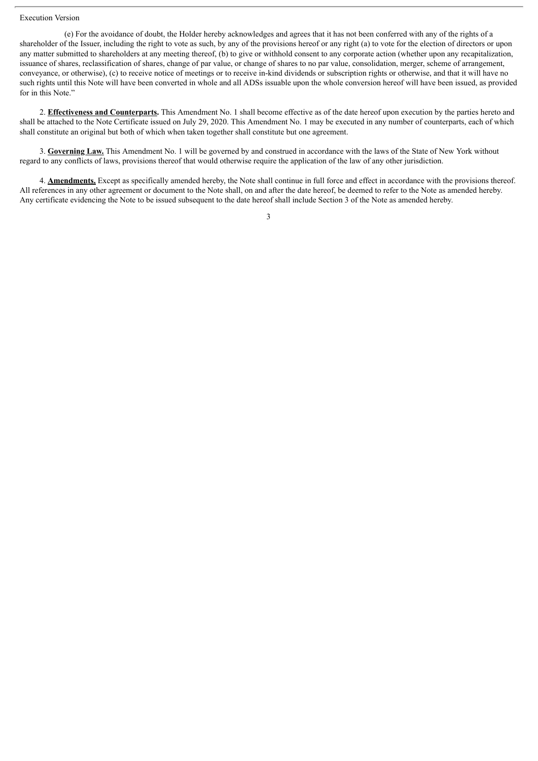#### Execution Version

(e) For the avoidance of doubt, the Holder hereby acknowledges and agrees that it has not been conferred with any of the rights of a shareholder of the Issuer, including the right to vote as such, by any of the provisions hereof or any right (a) to vote for the election of directors or upon any matter submitted to shareholders at any meeting thereof, (b) to give or withhold consent to any corporate action (whether upon any recapitalization, issuance of shares, reclassification of shares, change of par value, or change of shares to no par value, consolidation, merger, scheme of arrangement, conveyance, or otherwise), (c) to receive notice of meetings or to receive in-kind dividends or subscription rights or otherwise, and that it will have no such rights until this Note will have been converted in whole and all ADSs issuable upon the whole conversion hereof will have been issued, as provided for in this Note."

2. **Effectiveness and Counterparts.** This Amendment No. 1 shall become effective as of the date hereof upon execution by the parties hereto and shall be attached to the Note Certificate issued on July 29, 2020. This Amendment No. 1 may be executed in any number of counterparts, each of which shall constitute an original but both of which when taken together shall constitute but one agreement.

3. **Governing Law.** This Amendment No. 1 will be governed by and construed in accordance with the laws of the State of New York without regard to any conflicts of laws, provisions thereof that would otherwise require the application of the law of any other jurisdiction.

4. **Amendments.** Except as specifically amended hereby, the Note shall continue in full force and effect in accordance with the provisions thereof. All references in any other agreement or document to the Note shall, on and after the date hereof, be deemed to refer to the Note as amended hereby. Any certificate evidencing the Note to be issued subsequent to the date hereof shall include Section 3 of the Note as amended hereby.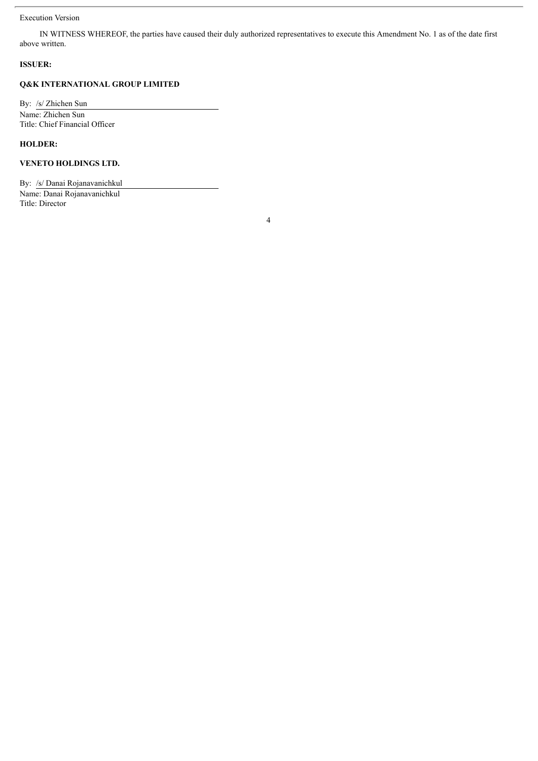#### Execution Version

IN WITNESS WHEREOF, the parties have caused their duly authorized representatives to execute this Amendment No. 1 as of the date first above written.

### **ISSUER:**

### **Q&K INTERNATIONAL GROUP LIMITED**

By: /s/ Zhichen Sun Name: Zhichen Sun Title: Chief Financial Officer

### **HOLDER:**

### **VENETO HOLDINGS LTD.**

By: /s/ Danai Rojanavanichkul Name: Danai Rojanavanichkul Title: Director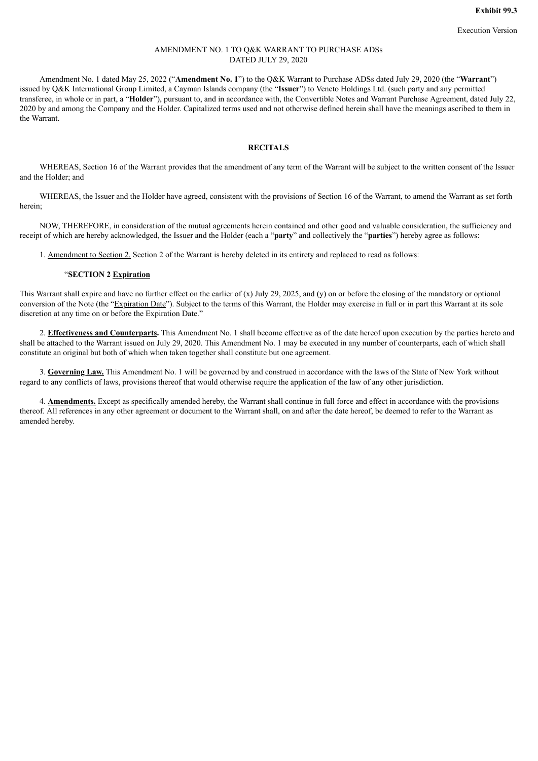#### AMENDMENT NO. 1 TO Q&K WARRANT TO PURCHASE ADSs DATED JULY 29, 2020

Amendment No. 1 dated May 25, 2022 ("**Amendment No. 1**") to the Q&K Warrant to Purchase ADSs dated July 29, 2020 (the "**Warrant**") issued by Q&K International Group Limited, a Cayman Islands company (the "**Issuer**") to Veneto Holdings Ltd. (such party and any permitted transferee, in whole or in part, a "**Holder**"), pursuant to, and in accordance with, the Convertible Notes and Warrant Purchase Agreement, dated July 22, 2020 by and among the Company and the Holder. Capitalized terms used and not otherwise defined herein shall have the meanings ascribed to them in the Warrant.

### **RECITALS**

WHEREAS, Section 16 of the Warrant provides that the amendment of any term of the Warrant will be subject to the written consent of the Issuer and the Holder; and

WHEREAS, the Issuer and the Holder have agreed, consistent with the provisions of Section 16 of the Warrant, to amend the Warrant as set forth herein;

NOW, THEREFORE, in consideration of the mutual agreements herein contained and other good and valuable consideration, the sufficiency and receipt of which are hereby acknowledged, the Issuer and the Holder (each a "**party**" and collectively the "**parties**") hereby agree as follows:

1. Amendment to Section 2. Section 2 of the Warrant is hereby deleted in its entirety and replaced to read as follows:

#### "**SECTION 2 Expiration**

This Warrant shall expire and have no further effect on the earlier of (x) July 29, 2025, and (y) on or before the closing of the mandatory or optional conversion of the Note (the "Expiration Date"). Subject to the terms of this Warrant, the Holder may exercise in full or in part this Warrant at its sole discretion at any time on or before the Expiration Date."

2. **Effectiveness and Counterparts.** This Amendment No. 1 shall become effective as of the date hereof upon execution by the parties hereto and shall be attached to the Warrant issued on July 29, 2020. This Amendment No. 1 may be executed in any number of counterparts, each of which shall constitute an original but both of which when taken together shall constitute but one agreement.

3. **Governing Law.** This Amendment No. 1 will be governed by and construed in accordance with the laws of the State of New York without regard to any conflicts of laws, provisions thereof that would otherwise require the application of the law of any other jurisdiction.

4. **Amendments.** Except as specifically amended hereby, the Warrant shall continue in full force and effect in accordance with the provisions thereof. All references in any other agreement or document to the Warrant shall, on and after the date hereof, be deemed to refer to the Warrant as amended hereby.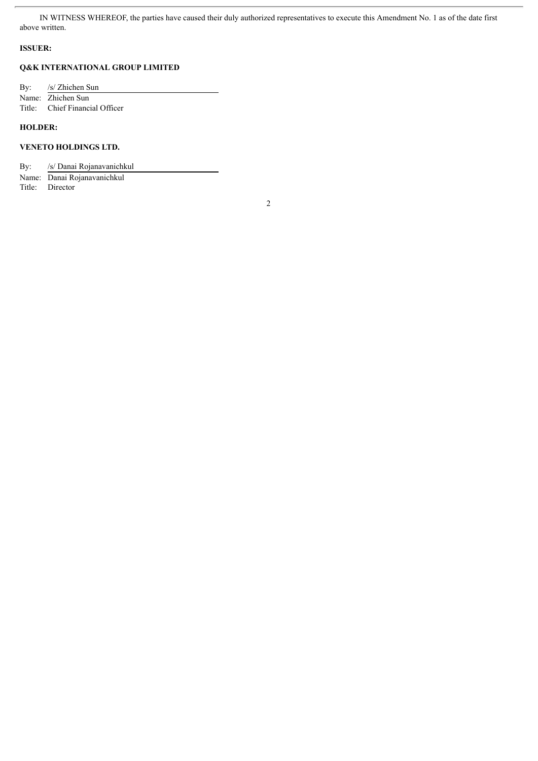IN WITNESS WHEREOF, the parties have caused their duly authorized representatives to execute this Amendment No. 1 as of the date first above written.

#### **ISSUER:**

### **Q&K INTERNATIONAL GROUP LIMITED**

By: /s/ Zhichen Sun Name: Zhichen Sun<br>Title: Chief Financ Chief Financial Officer

### **HOLDER:**

### **VENETO HOLDINGS LTD.**

By: /s/ Danai Rojanavanichkul

Name: Danai Rojanavanichkul Title: Director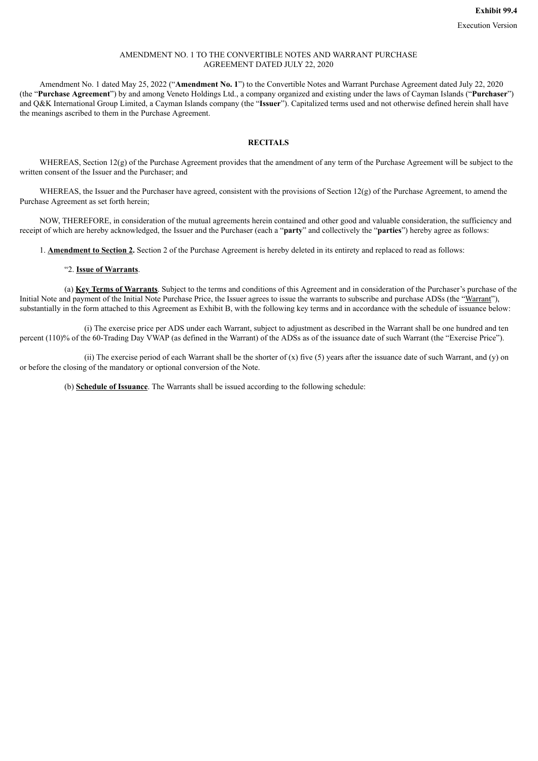#### AMENDMENT NO. 1 TO THE CONVERTIBLE NOTES AND WARRANT PURCHASE AGREEMENT DATED JULY 22, 2020

Amendment No. 1 dated May 25, 2022 ("**Amendment No. 1**") to the Convertible Notes and Warrant Purchase Agreement dated July 22, 2020 (the "**Purchase Agreement**") by and among Veneto Holdings Ltd., a company organized and existing under the laws of Cayman Islands ("**Purchaser**") and Q&K International Group Limited, a Cayman Islands company (the "**Issuer**"). Capitalized terms used and not otherwise defined herein shall have the meanings ascribed to them in the Purchase Agreement.

### **RECITALS**

WHEREAS, Section 12(g) of the Purchase Agreement provides that the amendment of any term of the Purchase Agreement will be subject to the written consent of the Issuer and the Purchaser; and

WHEREAS, the Issuer and the Purchaser have agreed, consistent with the provisions of Section 12(g) of the Purchase Agreement, to amend the Purchase Agreement as set forth herein;

NOW, THEREFORE, in consideration of the mutual agreements herein contained and other good and valuable consideration, the sufficiency and receipt of which are hereby acknowledged, the Issuer and the Purchaser (each a "**party**" and collectively the "**parties**") hereby agree as follows:

1. **Amendment to Section 2.** Section 2 of the Purchase Agreement is hereby deleted in its entirety and replaced to read as follows:

#### "2. **Issue of Warrants**.

(a) **Key Terms of Warrants**. Subject to the terms and conditions of this Agreement and in consideration of the Purchaser's purchase of the Initial Note and payment of the Initial Note Purchase Price, the Issuer agrees to issue the warrants to subscribe and purchase ADSs (the "Warrant"), substantially in the form attached to this Agreement as Exhibit B, with the following key terms and in accordance with the schedule of issuance below:

(i) The exercise price per ADS under each Warrant, subject to adjustment as described in the Warrant shall be one hundred and ten percent (110)% of the 60-Trading Day VWAP (as defined in the Warrant) of the ADSs as of the issuance date of such Warrant (the "Exercise Price").

(ii) The exercise period of each Warrant shall be the shorter of  $(x)$  five  $(5)$  years after the issuance date of such Warrant, and  $(y)$  on or before the closing of the mandatory or optional conversion of the Note.

(b) **Schedule of Issuance**. The Warrants shall be issued according to the following schedule: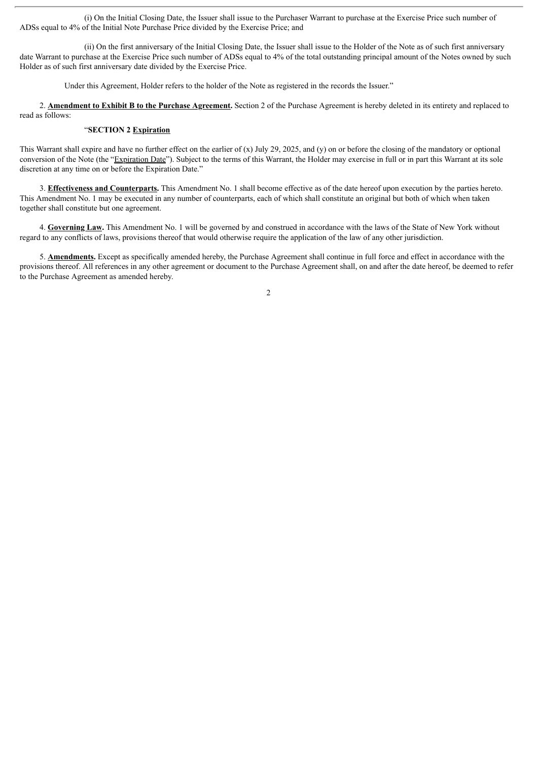(i) On the Initial Closing Date, the Issuer shall issue to the Purchaser Warrant to purchase at the Exercise Price such number of ADSs equal to 4% of the Initial Note Purchase Price divided by the Exercise Price; and

(ii) On the first anniversary of the Initial Closing Date, the Issuer shall issue to the Holder of the Note as of such first anniversary date Warrant to purchase at the Exercise Price such number of ADSs equal to 4% of the total outstanding principal amount of the Notes owned by such Holder as of such first anniversary date divided by the Exercise Price.

Under this Agreement, Holder refers to the holder of the Note as registered in the records the Issuer."

2. **Amendment to Exhibit B to the Purchase Agreement.** Section 2 of the Purchase Agreement is hereby deleted in its entirety and replaced to read as follows:

#### "**SECTION 2 Expiration**

This Warrant shall expire and have no further effect on the earlier of (x) July 29, 2025, and (y) on or before the closing of the mandatory or optional conversion of the Note (the "Expiration Date"). Subject to the terms of this Warrant, the Holder may exercise in full or in part this Warrant at its sole discretion at any time on or before the Expiration Date."

3. **Effectiveness and Counterparts.** This Amendment No. 1 shall become effective as of the date hereof upon execution by the parties hereto. This Amendment No. 1 may be executed in any number of counterparts, each of which shall constitute an original but both of which when taken together shall constitute but one agreement.

4. **Governing Law.** This Amendment No. 1 will be governed by and construed in accordance with the laws of the State of New York without regard to any conflicts of laws, provisions thereof that would otherwise require the application of the law of any other jurisdiction.

5. **Amendments.** Except as specifically amended hereby, the Purchase Agreement shall continue in full force and effect in accordance with the provisions thereof. All references in any other agreement or document to the Purchase Agreement shall, on and after the date hereof, be deemed to refer to the Purchase Agreement as amended hereby.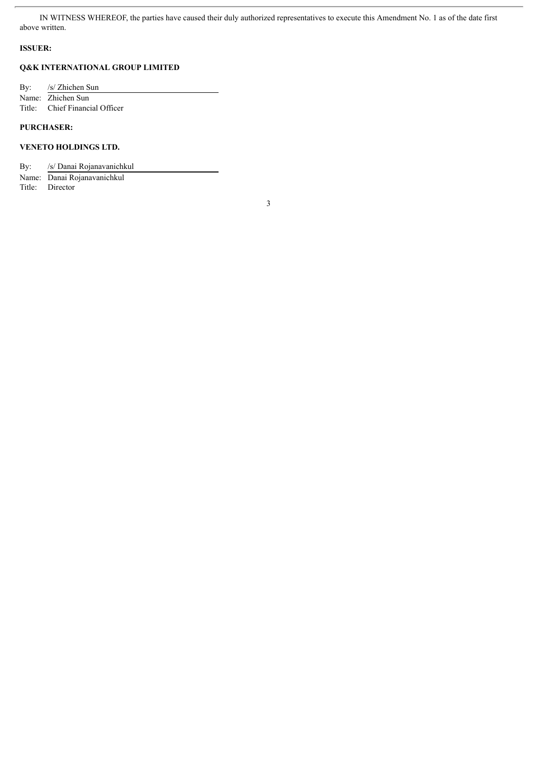IN WITNESS WHEREOF, the parties have caused their duly authorized representatives to execute this Amendment No. 1 as of the date first above written.

#### **ISSUER:**

### **Q&K INTERNATIONAL GROUP LIMITED**

By: /s/ Zhichen Sun Name: Zhichen Sun<br>Title: Chief Financ Chief Financial Officer

### **PURCHASER:**

### **VENETO HOLDINGS LTD.**

By: /s/ Danai Rojanavanichkul

Name: Danai Rojanavanichkul Title: Director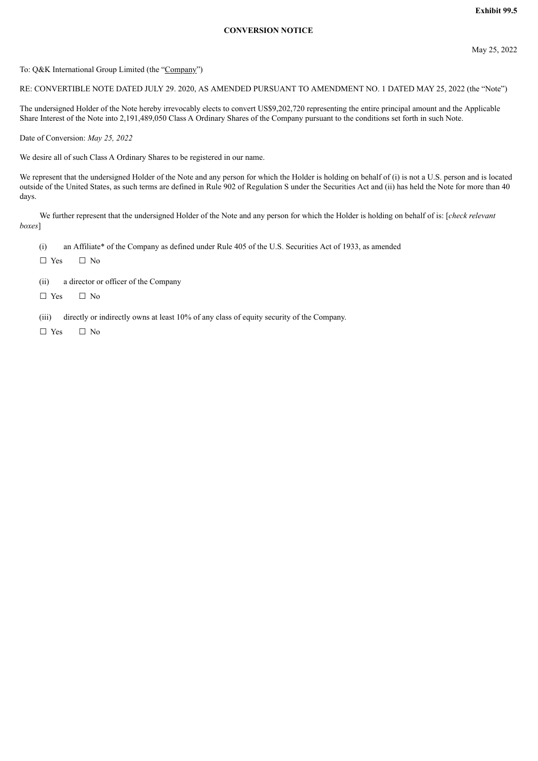### **Exhibit 99.5**

#### **CONVERSION NOTICE**

To: Q&K International Group Limited (the "Company")

RE: CONVERTIBLE NOTE DATED JULY 29. 2020, AS AMENDED PURSUANT TO AMENDMENT NO. 1 DATED MAY 25, 2022 (the "Note")

The undersigned Holder of the Note hereby irrevocably elects to convert US\$9,202,720 representing the entire principal amount and the Applicable Share Interest of the Note into 2,191,489,050 Class A Ordinary Shares of the Company pursuant to the conditions set forth in such Note.

Date of Conversion: *May 25, 2022*

We desire all of such Class A Ordinary Shares to be registered in our name.

We represent that the undersigned Holder of the Note and any person for which the Holder is holding on behalf of (i) is not a U.S. person and is located outside of the United States, as such terms are defined in Rule 902 of Regulation S under the Securities Act and (ii) has held the Note for more than 40 days.

We further represent that the undersigned Holder of the Note and any person for which the Holder is holding on behalf of is: [*check relevant boxes*]

- (i) an Affiliate\* of the Company as defined under Rule 405 of the U.S. Securities Act of 1933, as amended
- ☐ Yes ☐ No
- (ii) a director or officer of the Company
- ☐ Yes ☐ No

(iii) directly or indirectly owns at least 10% of any class of equity security of the Company.

☐ Yes ☐ No